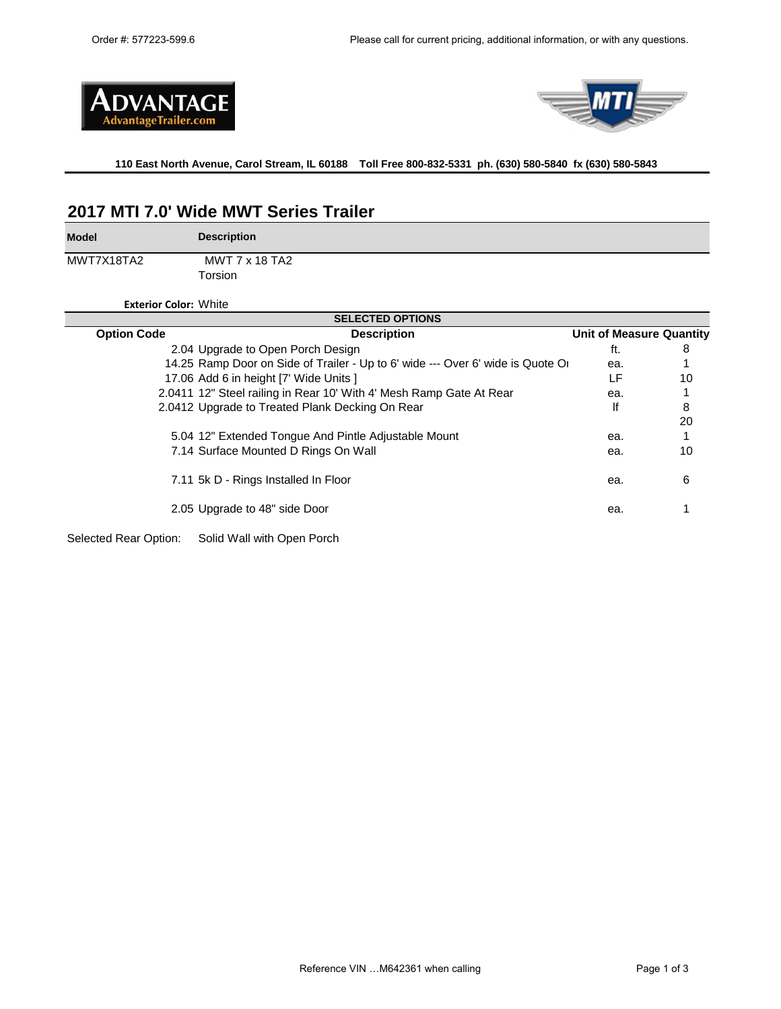



## **110 East North Avenue, Carol Stream, IL 60188 Toll Free 800-832-5331 ph. (630) 580-5840 fx (630) 580-5843**

## **2017 MTI 7.0' Wide MWT Series Trailer**

**Model**

**Description**

MWT7X18TA2

Torsion MWT 7 x 18 TA2

**Exterior Color:** White

| <b>SELECTED OPTIONS</b> |                                                                                 |                                 |    |  |  |
|-------------------------|---------------------------------------------------------------------------------|---------------------------------|----|--|--|
| <b>Option Code</b>      | <b>Description</b>                                                              | <b>Unit of Measure Quantity</b> |    |  |  |
|                         | 2.04 Upgrade to Open Porch Design                                               | ft.                             | 8  |  |  |
|                         | 14.25 Ramp Door on Side of Trailer - Up to 6' wide --- Over 6' wide is Quote Or | ea.                             |    |  |  |
|                         | 17.06 Add 6 in height [7' Wide Units ]                                          | LF                              | 10 |  |  |
|                         | 2.0411 12" Steel railing in Rear 10' With 4' Mesh Ramp Gate At Rear             | ea.                             |    |  |  |
|                         | 2.0412 Upgrade to Treated Plank Decking On Rear                                 | lf                              | 8  |  |  |
|                         |                                                                                 |                                 | 20 |  |  |
|                         | 5.04 12" Extended Tongue And Pintle Adjustable Mount                            | ea.                             |    |  |  |
|                         | 7.14 Surface Mounted D Rings On Wall                                            | ea.                             | 10 |  |  |
|                         | 7.11 5k D - Rings Installed In Floor                                            | ea.                             | 6  |  |  |
|                         | 2.05 Upgrade to 48" side Door                                                   | ea.                             |    |  |  |
| Selected Rear Option:   | Solid Wall with Open Porch                                                      |                                 |    |  |  |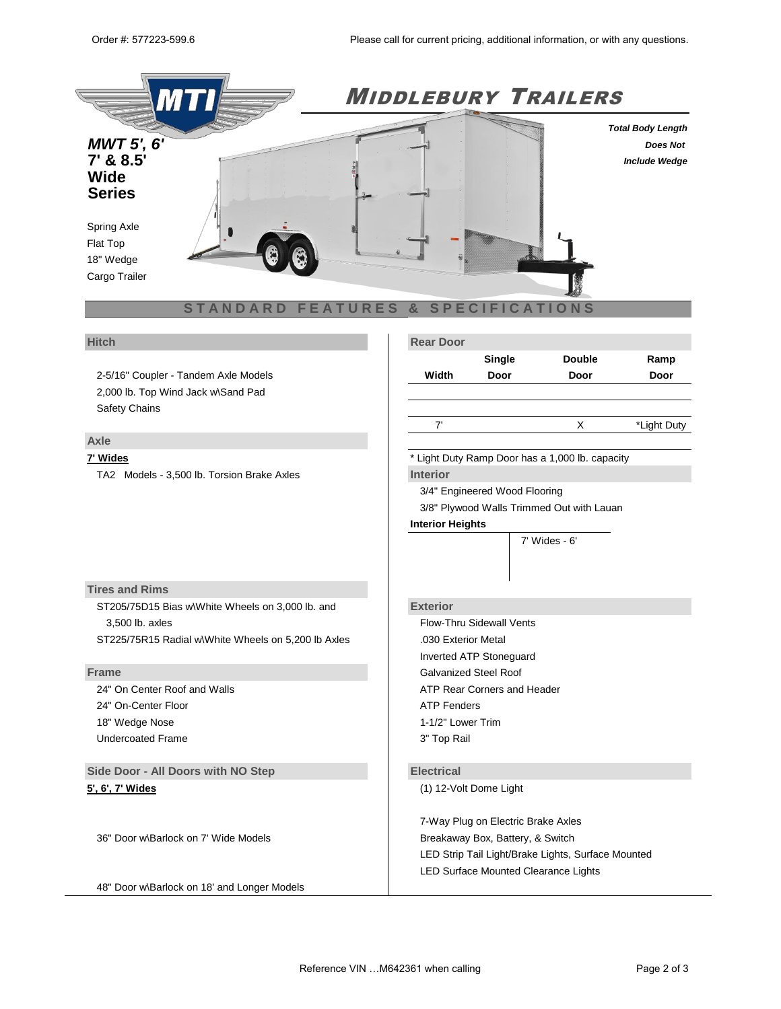

2-5/16" Coupler - Tandem Axle Models 2,000 lb. Top Wind Jack w\Sand Pad Safety Chains

## **Axle**

TA2 Models - 3,500 lb. Torsion Brake Axles **Interior**

|              | Single           | <b>Double</b> |
|--------------|------------------|---------------|
| <b>Hitch</b> | <b>Rear Door</b> |               |

| Width | Door | Door | Door |
|-------|------|------|------|
|       |      |      |      |

## 7' X \*Light Duty

**Ramp** 

**7' Wides** \* Light Duty Ramp Door has a 1,000 lb. capacity

3/4" Engineered Wood Flooring

3/8" Plywood Walls Trimmed Out with Lauan

5' Wides - 5' 6" 8.5' Wides - 6' 6"

## **Interior Heights**

4' Wides - 4' 7' Wides - 6'

## **Tires and Rims**

ST205/75D15 Bias w\White Wheels on 3,000 lb. and **Exterior** 3,500 lb. axles Flow-Thru Sidewall Vents ST225/75R15 Radial wWhite Wheels on 5,200 lb Axles ...............................

24" On-Center Floor **ATP** Fenders 18" Wedge Nose 1-1/2" Lower Trim Undercoated Frame 3" Top Rail

**Side Door - All Doors with NO Step <b>Electrical** 

36" Door w\Barlock on 7' Wide Models Breakaway Box, Battery, & Switch

48" Door w\Barlock on 18' and Longer Models

Inverted ATP Stoneguard **Frame** Galvanized Steel Roof Roof Reserves and Reserves and Reserves and Galvanized Steel Roof 24" On Center Roof and Walls **ATP Rear Corners and Header** ATP Rear Corners and Header

**5', 6', 7' Wides** (1) 12-Volt Dome Light

7- Way Plug on Electric Brake Axles LED Strip Tail Light/Brake Lights, Surface Mounted LED Surface Mounted Clearance Lights

 $24$  Door wab Plug on 8' Long Models 4-Way Plug on Idler Axles Axles Axles Axles Axles Axles Axles Axles Axles